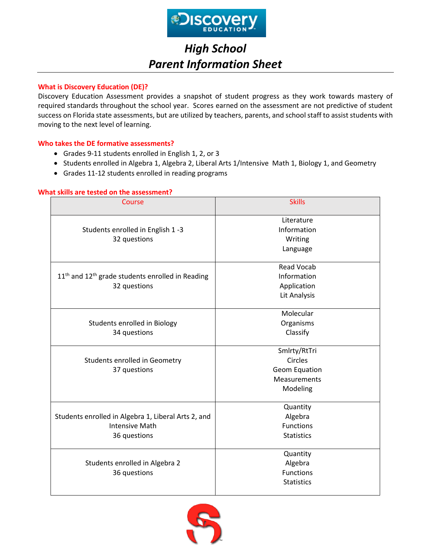

# *High School Parent Information Sheet*

## **What is Discovery Education (DE)?**

Discovery Education Assessment provides a snapshot of student progress as they work towards mastery of required standards throughout the school year. Scores earned on the assessment are not predictive of student success on Florida state assessments, but are utilized by teachers, parents, and school staff to assist students with moving to the next level of learning.

## **Who takes the DE formative assessments?**

- Grades 9-11 students enrolled in English 1, 2, or 3
- Students enrolled in Algebra 1, Algebra 2, Liberal Arts 1/Intensive Math 1, Biology 1, and Geometry
- Grades 11-12 students enrolled in reading programs

| Course                                               | <b>Skills</b>       |  |  |  |  |  |  |
|------------------------------------------------------|---------------------|--|--|--|--|--|--|
|                                                      | Literature          |  |  |  |  |  |  |
| Students enrolled in English 1-3                     | Information         |  |  |  |  |  |  |
| 32 questions                                         | Writing             |  |  |  |  |  |  |
|                                                      | Language            |  |  |  |  |  |  |
|                                                      | <b>Read Vocab</b>   |  |  |  |  |  |  |
| $11th$ and $12th$ grade students enrolled in Reading | Information         |  |  |  |  |  |  |
| 32 questions                                         | Application         |  |  |  |  |  |  |
|                                                      | Lit Analysis        |  |  |  |  |  |  |
|                                                      | Molecular           |  |  |  |  |  |  |
| Students enrolled in Biology                         | Organisms           |  |  |  |  |  |  |
| 34 questions                                         | Classify            |  |  |  |  |  |  |
|                                                      | Smlrty/RtTri        |  |  |  |  |  |  |
| Students enrolled in Geometry                        | Circles             |  |  |  |  |  |  |
| 37 questions                                         | Geom Equation       |  |  |  |  |  |  |
|                                                      | <b>Measurements</b> |  |  |  |  |  |  |
|                                                      | Modeling            |  |  |  |  |  |  |
|                                                      | Quantity            |  |  |  |  |  |  |
| Students enrolled in Algebra 1, Liberal Arts 2, and  | Algebra             |  |  |  |  |  |  |
| <b>Intensive Math</b>                                | <b>Functions</b>    |  |  |  |  |  |  |
| 36 questions                                         | <b>Statistics</b>   |  |  |  |  |  |  |
|                                                      | Quantity            |  |  |  |  |  |  |
| Students enrolled in Algebra 2                       | Algebra             |  |  |  |  |  |  |
| 36 questions                                         | <b>Functions</b>    |  |  |  |  |  |  |
|                                                      | <b>Statistics</b>   |  |  |  |  |  |  |

## **What skills are tested on the assessment?**